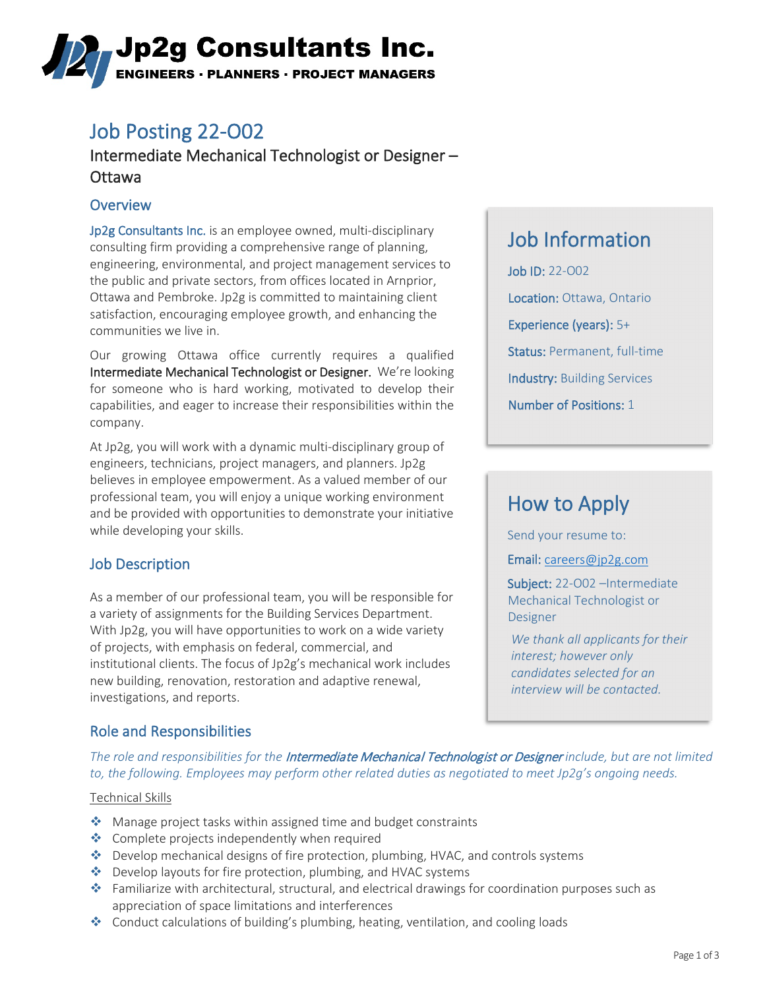# ,Jp2g Consultants Inc. **ENGINEERS · PLANNERS · PROJECT MANAGERS**

## Job Posting 22-O02

### Intermediate Mechanical Technologist or Designer – Ottawa

### **Overview**

Jp2g Consultants Inc. is an employee owned, multi-disciplinary consulting firm providing a comprehensive range of planning, engineering, environmental, and project management services to the public and private sectors, from offices located in Arnprior, Ottawa and Pembroke. Jp2g is committed to maintaining client satisfaction, encouraging employee growth, and enhancing the communities we live in.

Our growing Ottawa office currently requires a qualified Intermediate Mechanical Technologist or Designer. We're looking for someone who is hard working, motivated to develop their capabilities, and eager to increase their responsibilities within the company.

At Jp2g, you will work with a dynamic multi-disciplinary group of engineers, technicians, project managers, and planners. Jp2g believes in employee empowerment. As a valued member of our professional team, you will enjoy a unique working environment and be provided with opportunities to demonstrate your initiative while developing your skills.

### Job Description

As a member of our professional team, you will be responsible for a variety of assignments for the Building Services Department. With Jp2g, you will have opportunities to work on a wide variety of projects, with emphasis on federal, commercial, and institutional clients. The focus of Jp2g's mechanical work includes new building, renovation, restoration and adaptive renewal, investigations, and reports.

### Role and Responsibilities

### Job Information

Job ID: 22-O02 Location: Ottawa, Ontario Experience (years): 5+ Status: Permanent, full-time Industry: Building Services Number of Positions: 1

# How to Apply

Send your resume to:

Email: [careers@jp2g.com](mailto:careers@jp2g.com?subject=22-O02%20%E2%80%93Intermediate%20Mechanical%20Technologist%20or%20Designer%20%20%20%20%20)

Subject: 22-002 -Intermediate Mechanical Technologist or **Designer** 

*We thank all applicants for their interest; however only candidates selected for an interview will be contacted.*

*The role and responsibilities for the* Intermediate Mechanical Technologist or Designer *include, but are not limited to, the following. Employees may perform other related duties as negotiated to meet Jp2g's ongoing needs.*

#### Technical Skills

- ◆ Manage project tasks within assigned time and budget constraints
- ◆ Complete projects independently when required
- ◆ Develop mechanical designs of fire protection, plumbing, HVAC, and controls systems
- ◆ Develop layouts for fire protection, plumbing, and HVAC systems
- Familiarize with architectural, structural, and electrical drawings for coordination purposes such as appreciation of space limitations and interferences
- Conduct calculations of building's plumbing, heating, ventilation, and cooling loads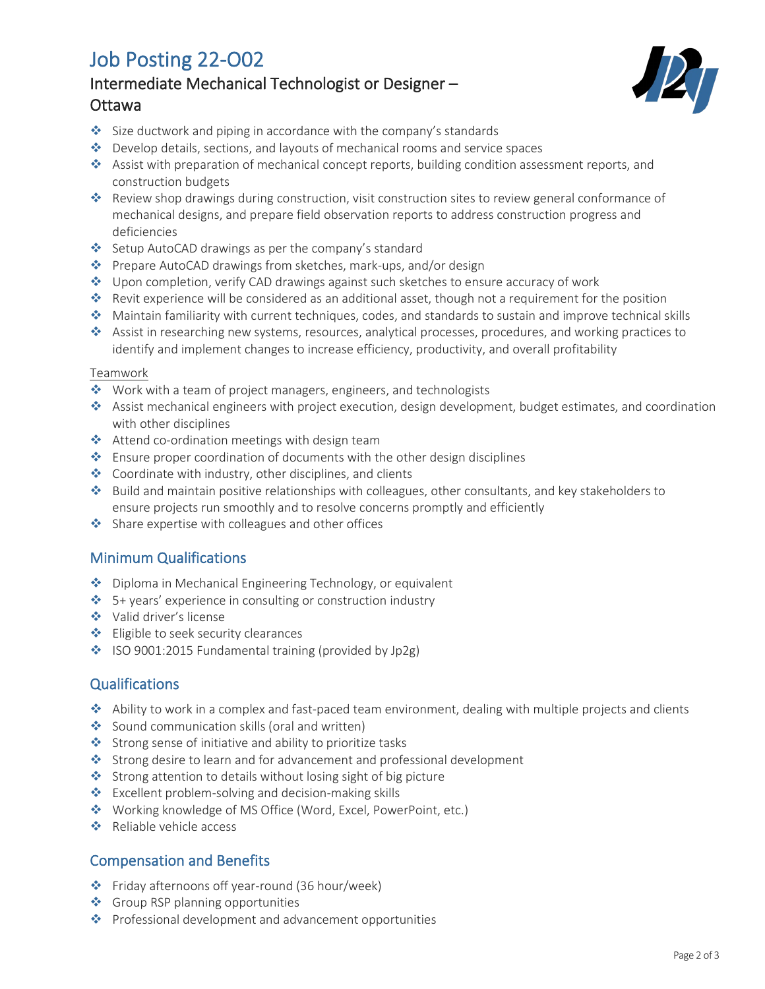## Job Posting 22-O02

### Intermediate Mechanical Technologist or Designer – Ottawa



- $\cdot$  Size ductwork and piping in accordance with the company's standards
- Develop details, sections, and layouts of mechanical rooms and service spaces
- Assist with preparation of mechanical concept reports, building condition assessment reports, and construction budgets
- \* Review shop drawings during construction, visit construction sites to review general conformance of mechanical designs, and prepare field observation reports to address construction progress and deficiencies
- Setup AutoCAD drawings as per the company's standard
- ◆ Prepare AutoCAD drawings from sketches, mark-ups, and/or design
- Upon completion, verify CAD drawings against such sketches to ensure accuracy of work
- \* Revit experience will be considered as an additional asset, though not a requirement for the position
- Maintain familiarity with current techniques, codes, and standards to sustain and improve technical skills
- Assist in researching new systems, resources, analytical processes, procedures, and working practices to identify and implement changes to increase efficiency, productivity, and overall profitability

#### Teamwork

- ◆ Work with a team of project managers, engineers, and technologists
- Assist mechanical engineers with project execution, design development, budget estimates, and coordination with other disciplines
- Attend co-ordination meetings with design team
- **Ensure proper coordination of documents with the other design disciplines**
- ◆ Coordinate with industry, other disciplines, and clients
- Build and maintain positive relationships with colleagues, other consultants, and key stakeholders to ensure projects run smoothly and to resolve concerns promptly and efficiently
- $\triangle$  Share expertise with colleagues and other offices

### Minimum Qualifications

- ◆ Diploma in Mechanical Engineering Technology, or equivalent
- 5+ years' experience in consulting or construction industry
- Valid driver's license
- **❖** Eligible to seek security clearances
- ISO 9001:2015 Fundamental training (provided by Jp2g)

#### **Qualifications**

- Ability to work in a complex and fast-paced team environment, dealing with multiple projects and clients
- Sound communication skills (oral and written)
- Strong sense of initiative and ability to prioritize tasks
- Strong desire to learn and for advancement and professional development
- Strong attention to details without losing sight of big picture
- ❖ Excellent problem-solving and decision-making skills
- ◆ Working knowledge of MS Office (Word, Excel, PowerPoint, etc.)
- **❖** Reliable vehicle access

### Compensation and Benefits

- Friday afternoons off year-round (36 hour/week)
- ❖ Group RSP planning opportunities
- ◆ Professional development and advancement opportunities